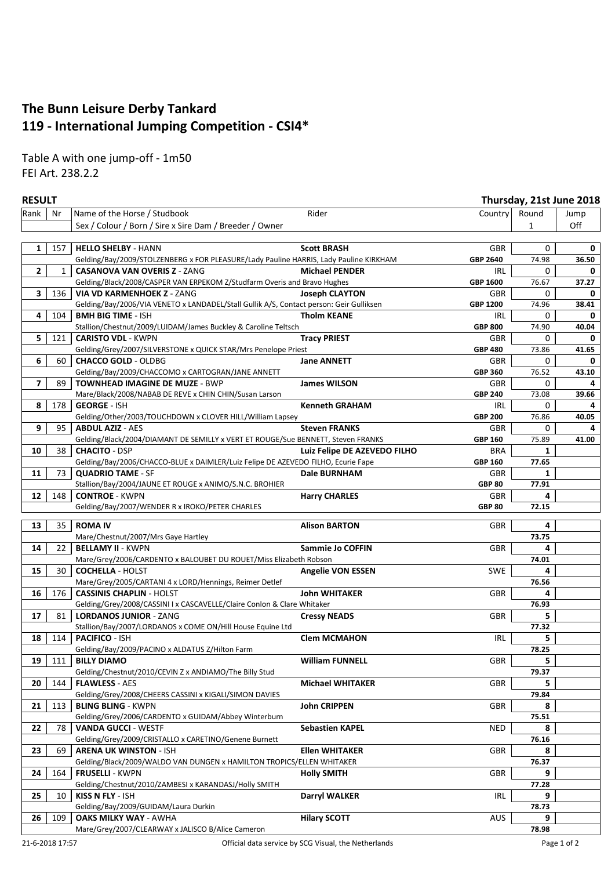## **The Bunn Leisure Derby Tankard 119 - International Jumping Competition - CSI4\***

Table A with one jump-off - 1m50 FEI Art. 238.2.2

| Rank<br>Name of the Horse / Studbook<br>Rider<br>Country<br>Round<br>Nr<br>Jump<br>Off<br>Sex / Colour / Born / Sire x Sire Dam / Breeder / Owner<br>$\mathbf{1}$<br>1<br>157<br><b>HELLO SHELBY - HANN</b><br><b>Scott BRASH</b><br>0<br>GBR<br>0<br>74.98<br>Gelding/Bay/2009/STOLZENBERG x FOR PLEASURE/Lady Pauline HARRIS, Lady Pauline KIRKHAM<br>GBP 2640<br>36.50<br>$\mathbf{2}$<br>$\mathbf{1}$<br><b>CASANOVA VAN OVERIS Z - ZANG</b><br>0<br><b>Michael PENDER</b><br>IRL<br>0<br>Gelding/Black/2008/CASPER VAN ERPEKOM Z/Studfarm Overis and Bravo Hughes<br>76.67<br>37.27<br>GBP 1600<br>3<br>136<br>VIA VD KARMENHOEK Z - ZANG<br><b>Joseph CLAYTON</b><br>GBR<br>0<br>0<br>74.96<br>Gelding/Bay/2006/VIA VENETO x LANDADEL/Stall Gullik A/S, Contact person: Geir Gulliksen<br>GBP 1200<br>38.41<br>4<br>104<br><b>BMH BIG TIME - ISH</b><br><b>Tholm KEANE</b><br>IRL<br>0<br>0<br>Stallion/Chestnut/2009/LUIDAM/James Buckley & Caroline Teltsch<br><b>GBP 800</b><br>74.90<br>40.04<br>5<br><b>Tracy PRIEST</b><br>121<br><b>CARISTO VDL - KWPN</b><br>GBR<br>0<br>0<br>Gelding/Grey/2007/SILVERSTONE x QUICK STAR/Mrs Penelope Priest<br><b>GBP 480</b><br>73.86<br>41.65<br>6<br><b>CHACCO GOLD - OLDBG</b><br><b>Jane ANNETT</b><br>60<br>GBR<br>0<br>0<br>76.52<br>Gelding/Bay/2009/CHACCOMO x CARTOGRAN/JANE ANNETT<br><b>GBP 360</b><br>43.10<br>7<br><b>TOWNHEAD IMAGINE DE MUZE - BWP</b><br>89<br><b>James WILSON</b><br>GBR<br>0<br>73.08<br>Mare/Black/2008/NABAB DE REVE x CHIN CHIN/Susan Larson<br><b>GBP 240</b><br>39.66<br>8<br>178<br><b>GEORGE - ISH</b><br><b>Kenneth GRAHAM</b><br>IRL<br>0<br>4<br>Gelding/Other/2003/TOUCHDOWN x CLOVER HILL/William Lapsey<br><b>GBP 200</b><br>76.86<br>40.05<br>9<br><b>Steven FRANKS</b><br>95<br><b>ABDUL AZIZ - AES</b><br>GBR<br>0<br>75.89<br>Gelding/Black/2004/DIAMANT DE SEMILLY x VERT ET ROUGE/Sue BENNETT, Steven FRANKS<br>GBP 160<br>41.00<br>10<br>38<br><b>CHACITO - DSP</b><br>Luiz Felipe DE AZEVEDO FILHO<br><b>BRA</b><br>1<br>77.65<br>Gelding/Bay/2006/CHACCO-BLUE x DAIMLER/Luiz Felipe DE AZEVEDO FILHO, Ecurie Fape<br><b>GBP 160</b><br>11<br><b>QUADRIO TAME - SF</b><br><b>Dale BURNHAM</b><br>GBR<br>73<br>1<br>77.91<br>Stallion/Bay/2004/JAUNE ET ROUGE x ANIMO/S.N.C. BROHIER<br><b>GBP 80</b><br><b>CONTROE - KWPN</b><br><b>Harry CHARLES</b><br>12<br>148<br>GBR<br>4<br>72.15<br>Gelding/Bay/2007/WENDER R x IROKO/PETER CHARLES<br><b>GBP 80</b><br><b>ROMA IV</b><br>4<br>13<br>35<br><b>Alison BARTON</b><br>GBR<br>73.75<br>Mare/Chestnut/2007/Mrs Gaye Hartley<br>14<br>22<br><b>BELLAMY II - KWPN</b><br><b>Sammie Jo COFFIN</b><br>GBR<br>4<br>74.01<br>Mare/Grey/2006/CARDENTO x BALOUBET DU ROUET/Miss Elizabeth Robson<br>15<br>SWE<br><b>COCHELLA - HOLST</b><br><b>Angelie VON ESSEN</b><br>30<br>4<br>76.56<br>Mare/Grey/2005/CARTANI 4 x LORD/Hennings, Reimer Detlef<br>16<br><b>John WHITAKER</b><br><b>GBR</b><br>176<br><b>CASSINIS CHAPLIN - HOLST</b><br>4<br>76.93<br>Gelding/Grey/2008/CASSINI I x CASCAVELLE/Claire Conlon & Clare Whitaker<br>17<br><b>LORDANOS JUNIOR - ZANG</b><br><b>Cressy NEADS</b><br>GBR<br>5.<br>81<br>77.32<br>Stallion/Bay/2007/LORDANOS x COME ON/Hill House Equine Ltd<br>114<br><b>PACIFICO - ISH</b><br><b>Clem MCMAHON</b><br><b>IRL</b><br>18<br>5.<br>78.25<br>Gelding/Bay/2009/PACINO x ALDATUS Z/Hilton Farm<br><b>BILLY DIAMO</b><br>5<br>19<br>111<br><b>William FUNNELL</b><br>GBR<br>79.37<br>Gelding/Chestnut/2010/CEVIN Z x ANDIAMO/The Billy Stud<br><b>GBR</b><br>20<br>144<br><b>FLAWLESS - AES</b><br><b>Michael WHITAKER</b><br>5.<br>79.84<br>Gelding/Grey/2008/CHEERS CASSINI x KIGALI/SIMON DAVIES<br><b>BLING BLING - KWPN</b><br><b>GBR</b><br>8<br><b>John CRIPPEN</b><br>21<br>113<br>75.51<br>Gelding/Grey/2006/CARDENTO x GUIDAM/Abbey Winterburn<br>22<br>78<br><b>VANDA GUCCI - WESTF</b><br><b>Sebastien KAPEL</b><br>NED<br>8<br>76.16<br>Gelding/Grey/2009/CRISTALLO x CARETINO/Genene Burnett<br>23<br><b>ARENA UK WINSTON - ISH</b><br><b>Ellen WHITAKER</b><br>GBR<br>69<br>8<br>76.37<br>Gelding/Black/2009/WALDO VAN DUNGEN x HAMILTON TROPICS/ELLEN WHITAKER<br><b>FRUSELLI - KWPN</b><br><b>GBR</b><br>9<br>24<br>164<br><b>Holly SMITH</b><br>77.28<br>Gelding/Chestnut/2010/ZAMBESI x KARANDASJ/Holly SMITH<br>25<br><b>KISS N FLY - ISH</b><br><b>IRL</b><br>9<br><b>Darryl WALKER</b><br>10<br>Gelding/Bay/2009/GUIDAM/Laura Durkin<br>78.73<br><b>AUS</b><br><b>OAKS MILKY WAY - AWHA</b><br><b>Hilary SCOTT</b><br>26<br>109<br>9<br>78.98<br>Mare/Grey/2007/CLEARWAY x JALISCO B/Alice Cameron | <b>RESULT</b> |  | Thursday, 21st June 2018 |  |
|-------------------------------------------------------------------------------------------------------------------------------------------------------------------------------------------------------------------------------------------------------------------------------------------------------------------------------------------------------------------------------------------------------------------------------------------------------------------------------------------------------------------------------------------------------------------------------------------------------------------------------------------------------------------------------------------------------------------------------------------------------------------------------------------------------------------------------------------------------------------------------------------------------------------------------------------------------------------------------------------------------------------------------------------------------------------------------------------------------------------------------------------------------------------------------------------------------------------------------------------------------------------------------------------------------------------------------------------------------------------------------------------------------------------------------------------------------------------------------------------------------------------------------------------------------------------------------------------------------------------------------------------------------------------------------------------------------------------------------------------------------------------------------------------------------------------------------------------------------------------------------------------------------------------------------------------------------------------------------------------------------------------------------------------------------------------------------------------------------------------------------------------------------------------------------------------------------------------------------------------------------------------------------------------------------------------------------------------------------------------------------------------------------------------------------------------------------------------------------------------------------------------------------------------------------------------------------------------------------------------------------------------------------------------------------------------------------------------------------------------------------------------------------------------------------------------------------------------------------------------------------------------------------------------------------------------------------------------------------------------------------------------------------------------------------------------------------------------------------------------------------------------------------------------------------------------------------------------------------------------------------------------------------------------------------------------------------------------------------------------------------------------------------------------------------------------------------------------------------------------------------------------------------------------------------------------------------------------------------------------------------------------------------------------------------------------------------------------------------------------------------------------------------------------------------------------------------------------------------------------------------------------------------------------------------------------------------------------------------------------------------------------------------------------------------------------------------------------------------------------------------------------------------------------------------------------------------------------------------------------------------------------------------------------------------------------------------------------------------------------------------------------------------------------------------------------------------------------------------------------------------------------------------------------------------------------------------------------------------------------|---------------|--|--------------------------|--|
|                                                                                                                                                                                                                                                                                                                                                                                                                                                                                                                                                                                                                                                                                                                                                                                                                                                                                                                                                                                                                                                                                                                                                                                                                                                                                                                                                                                                                                                                                                                                                                                                                                                                                                                                                                                                                                                                                                                                                                                                                                                                                                                                                                                                                                                                                                                                                                                                                                                                                                                                                                                                                                                                                                                                                                                                                                                                                                                                                                                                                                                                                                                                                                                                                                                                                                                                                                                                                                                                                                                                                                                                                                                                                                                                                                                                                                                                                                                                                                                                                                                                                                                                                                                                                                                                                                                                                                                                                                                                                                                                                                                                                   |               |  |                          |  |
|                                                                                                                                                                                                                                                                                                                                                                                                                                                                                                                                                                                                                                                                                                                                                                                                                                                                                                                                                                                                                                                                                                                                                                                                                                                                                                                                                                                                                                                                                                                                                                                                                                                                                                                                                                                                                                                                                                                                                                                                                                                                                                                                                                                                                                                                                                                                                                                                                                                                                                                                                                                                                                                                                                                                                                                                                                                                                                                                                                                                                                                                                                                                                                                                                                                                                                                                                                                                                                                                                                                                                                                                                                                                                                                                                                                                                                                                                                                                                                                                                                                                                                                                                                                                                                                                                                                                                                                                                                                                                                                                                                                                                   |               |  |                          |  |
|                                                                                                                                                                                                                                                                                                                                                                                                                                                                                                                                                                                                                                                                                                                                                                                                                                                                                                                                                                                                                                                                                                                                                                                                                                                                                                                                                                                                                                                                                                                                                                                                                                                                                                                                                                                                                                                                                                                                                                                                                                                                                                                                                                                                                                                                                                                                                                                                                                                                                                                                                                                                                                                                                                                                                                                                                                                                                                                                                                                                                                                                                                                                                                                                                                                                                                                                                                                                                                                                                                                                                                                                                                                                                                                                                                                                                                                                                                                                                                                                                                                                                                                                                                                                                                                                                                                                                                                                                                                                                                                                                                                                                   |               |  |                          |  |
|                                                                                                                                                                                                                                                                                                                                                                                                                                                                                                                                                                                                                                                                                                                                                                                                                                                                                                                                                                                                                                                                                                                                                                                                                                                                                                                                                                                                                                                                                                                                                                                                                                                                                                                                                                                                                                                                                                                                                                                                                                                                                                                                                                                                                                                                                                                                                                                                                                                                                                                                                                                                                                                                                                                                                                                                                                                                                                                                                                                                                                                                                                                                                                                                                                                                                                                                                                                                                                                                                                                                                                                                                                                                                                                                                                                                                                                                                                                                                                                                                                                                                                                                                                                                                                                                                                                                                                                                                                                                                                                                                                                                                   |               |  |                          |  |
|                                                                                                                                                                                                                                                                                                                                                                                                                                                                                                                                                                                                                                                                                                                                                                                                                                                                                                                                                                                                                                                                                                                                                                                                                                                                                                                                                                                                                                                                                                                                                                                                                                                                                                                                                                                                                                                                                                                                                                                                                                                                                                                                                                                                                                                                                                                                                                                                                                                                                                                                                                                                                                                                                                                                                                                                                                                                                                                                                                                                                                                                                                                                                                                                                                                                                                                                                                                                                                                                                                                                                                                                                                                                                                                                                                                                                                                                                                                                                                                                                                                                                                                                                                                                                                                                                                                                                                                                                                                                                                                                                                                                                   |               |  |                          |  |
|                                                                                                                                                                                                                                                                                                                                                                                                                                                                                                                                                                                                                                                                                                                                                                                                                                                                                                                                                                                                                                                                                                                                                                                                                                                                                                                                                                                                                                                                                                                                                                                                                                                                                                                                                                                                                                                                                                                                                                                                                                                                                                                                                                                                                                                                                                                                                                                                                                                                                                                                                                                                                                                                                                                                                                                                                                                                                                                                                                                                                                                                                                                                                                                                                                                                                                                                                                                                                                                                                                                                                                                                                                                                                                                                                                                                                                                                                                                                                                                                                                                                                                                                                                                                                                                                                                                                                                                                                                                                                                                                                                                                                   |               |  |                          |  |
|                                                                                                                                                                                                                                                                                                                                                                                                                                                                                                                                                                                                                                                                                                                                                                                                                                                                                                                                                                                                                                                                                                                                                                                                                                                                                                                                                                                                                                                                                                                                                                                                                                                                                                                                                                                                                                                                                                                                                                                                                                                                                                                                                                                                                                                                                                                                                                                                                                                                                                                                                                                                                                                                                                                                                                                                                                                                                                                                                                                                                                                                                                                                                                                                                                                                                                                                                                                                                                                                                                                                                                                                                                                                                                                                                                                                                                                                                                                                                                                                                                                                                                                                                                                                                                                                                                                                                                                                                                                                                                                                                                                                                   |               |  |                          |  |
|                                                                                                                                                                                                                                                                                                                                                                                                                                                                                                                                                                                                                                                                                                                                                                                                                                                                                                                                                                                                                                                                                                                                                                                                                                                                                                                                                                                                                                                                                                                                                                                                                                                                                                                                                                                                                                                                                                                                                                                                                                                                                                                                                                                                                                                                                                                                                                                                                                                                                                                                                                                                                                                                                                                                                                                                                                                                                                                                                                                                                                                                                                                                                                                                                                                                                                                                                                                                                                                                                                                                                                                                                                                                                                                                                                                                                                                                                                                                                                                                                                                                                                                                                                                                                                                                                                                                                                                                                                                                                                                                                                                                                   |               |  |                          |  |
|                                                                                                                                                                                                                                                                                                                                                                                                                                                                                                                                                                                                                                                                                                                                                                                                                                                                                                                                                                                                                                                                                                                                                                                                                                                                                                                                                                                                                                                                                                                                                                                                                                                                                                                                                                                                                                                                                                                                                                                                                                                                                                                                                                                                                                                                                                                                                                                                                                                                                                                                                                                                                                                                                                                                                                                                                                                                                                                                                                                                                                                                                                                                                                                                                                                                                                                                                                                                                                                                                                                                                                                                                                                                                                                                                                                                                                                                                                                                                                                                                                                                                                                                                                                                                                                                                                                                                                                                                                                                                                                                                                                                                   |               |  |                          |  |
|                                                                                                                                                                                                                                                                                                                                                                                                                                                                                                                                                                                                                                                                                                                                                                                                                                                                                                                                                                                                                                                                                                                                                                                                                                                                                                                                                                                                                                                                                                                                                                                                                                                                                                                                                                                                                                                                                                                                                                                                                                                                                                                                                                                                                                                                                                                                                                                                                                                                                                                                                                                                                                                                                                                                                                                                                                                                                                                                                                                                                                                                                                                                                                                                                                                                                                                                                                                                                                                                                                                                                                                                                                                                                                                                                                                                                                                                                                                                                                                                                                                                                                                                                                                                                                                                                                                                                                                                                                                                                                                                                                                                                   |               |  |                          |  |
|                                                                                                                                                                                                                                                                                                                                                                                                                                                                                                                                                                                                                                                                                                                                                                                                                                                                                                                                                                                                                                                                                                                                                                                                                                                                                                                                                                                                                                                                                                                                                                                                                                                                                                                                                                                                                                                                                                                                                                                                                                                                                                                                                                                                                                                                                                                                                                                                                                                                                                                                                                                                                                                                                                                                                                                                                                                                                                                                                                                                                                                                                                                                                                                                                                                                                                                                                                                                                                                                                                                                                                                                                                                                                                                                                                                                                                                                                                                                                                                                                                                                                                                                                                                                                                                                                                                                                                                                                                                                                                                                                                                                                   |               |  |                          |  |
|                                                                                                                                                                                                                                                                                                                                                                                                                                                                                                                                                                                                                                                                                                                                                                                                                                                                                                                                                                                                                                                                                                                                                                                                                                                                                                                                                                                                                                                                                                                                                                                                                                                                                                                                                                                                                                                                                                                                                                                                                                                                                                                                                                                                                                                                                                                                                                                                                                                                                                                                                                                                                                                                                                                                                                                                                                                                                                                                                                                                                                                                                                                                                                                                                                                                                                                                                                                                                                                                                                                                                                                                                                                                                                                                                                                                                                                                                                                                                                                                                                                                                                                                                                                                                                                                                                                                                                                                                                                                                                                                                                                                                   |               |  |                          |  |
|                                                                                                                                                                                                                                                                                                                                                                                                                                                                                                                                                                                                                                                                                                                                                                                                                                                                                                                                                                                                                                                                                                                                                                                                                                                                                                                                                                                                                                                                                                                                                                                                                                                                                                                                                                                                                                                                                                                                                                                                                                                                                                                                                                                                                                                                                                                                                                                                                                                                                                                                                                                                                                                                                                                                                                                                                                                                                                                                                                                                                                                                                                                                                                                                                                                                                                                                                                                                                                                                                                                                                                                                                                                                                                                                                                                                                                                                                                                                                                                                                                                                                                                                                                                                                                                                                                                                                                                                                                                                                                                                                                                                                   |               |  |                          |  |
|                                                                                                                                                                                                                                                                                                                                                                                                                                                                                                                                                                                                                                                                                                                                                                                                                                                                                                                                                                                                                                                                                                                                                                                                                                                                                                                                                                                                                                                                                                                                                                                                                                                                                                                                                                                                                                                                                                                                                                                                                                                                                                                                                                                                                                                                                                                                                                                                                                                                                                                                                                                                                                                                                                                                                                                                                                                                                                                                                                                                                                                                                                                                                                                                                                                                                                                                                                                                                                                                                                                                                                                                                                                                                                                                                                                                                                                                                                                                                                                                                                                                                                                                                                                                                                                                                                                                                                                                                                                                                                                                                                                                                   |               |  |                          |  |
|                                                                                                                                                                                                                                                                                                                                                                                                                                                                                                                                                                                                                                                                                                                                                                                                                                                                                                                                                                                                                                                                                                                                                                                                                                                                                                                                                                                                                                                                                                                                                                                                                                                                                                                                                                                                                                                                                                                                                                                                                                                                                                                                                                                                                                                                                                                                                                                                                                                                                                                                                                                                                                                                                                                                                                                                                                                                                                                                                                                                                                                                                                                                                                                                                                                                                                                                                                                                                                                                                                                                                                                                                                                                                                                                                                                                                                                                                                                                                                                                                                                                                                                                                                                                                                                                                                                                                                                                                                                                                                                                                                                                                   |               |  |                          |  |
|                                                                                                                                                                                                                                                                                                                                                                                                                                                                                                                                                                                                                                                                                                                                                                                                                                                                                                                                                                                                                                                                                                                                                                                                                                                                                                                                                                                                                                                                                                                                                                                                                                                                                                                                                                                                                                                                                                                                                                                                                                                                                                                                                                                                                                                                                                                                                                                                                                                                                                                                                                                                                                                                                                                                                                                                                                                                                                                                                                                                                                                                                                                                                                                                                                                                                                                                                                                                                                                                                                                                                                                                                                                                                                                                                                                                                                                                                                                                                                                                                                                                                                                                                                                                                                                                                                                                                                                                                                                                                                                                                                                                                   |               |  |                          |  |
|                                                                                                                                                                                                                                                                                                                                                                                                                                                                                                                                                                                                                                                                                                                                                                                                                                                                                                                                                                                                                                                                                                                                                                                                                                                                                                                                                                                                                                                                                                                                                                                                                                                                                                                                                                                                                                                                                                                                                                                                                                                                                                                                                                                                                                                                                                                                                                                                                                                                                                                                                                                                                                                                                                                                                                                                                                                                                                                                                                                                                                                                                                                                                                                                                                                                                                                                                                                                                                                                                                                                                                                                                                                                                                                                                                                                                                                                                                                                                                                                                                                                                                                                                                                                                                                                                                                                                                                                                                                                                                                                                                                                                   |               |  |                          |  |
|                                                                                                                                                                                                                                                                                                                                                                                                                                                                                                                                                                                                                                                                                                                                                                                                                                                                                                                                                                                                                                                                                                                                                                                                                                                                                                                                                                                                                                                                                                                                                                                                                                                                                                                                                                                                                                                                                                                                                                                                                                                                                                                                                                                                                                                                                                                                                                                                                                                                                                                                                                                                                                                                                                                                                                                                                                                                                                                                                                                                                                                                                                                                                                                                                                                                                                                                                                                                                                                                                                                                                                                                                                                                                                                                                                                                                                                                                                                                                                                                                                                                                                                                                                                                                                                                                                                                                                                                                                                                                                                                                                                                                   |               |  |                          |  |
|                                                                                                                                                                                                                                                                                                                                                                                                                                                                                                                                                                                                                                                                                                                                                                                                                                                                                                                                                                                                                                                                                                                                                                                                                                                                                                                                                                                                                                                                                                                                                                                                                                                                                                                                                                                                                                                                                                                                                                                                                                                                                                                                                                                                                                                                                                                                                                                                                                                                                                                                                                                                                                                                                                                                                                                                                                                                                                                                                                                                                                                                                                                                                                                                                                                                                                                                                                                                                                                                                                                                                                                                                                                                                                                                                                                                                                                                                                                                                                                                                                                                                                                                                                                                                                                                                                                                                                                                                                                                                                                                                                                                                   |               |  |                          |  |
|                                                                                                                                                                                                                                                                                                                                                                                                                                                                                                                                                                                                                                                                                                                                                                                                                                                                                                                                                                                                                                                                                                                                                                                                                                                                                                                                                                                                                                                                                                                                                                                                                                                                                                                                                                                                                                                                                                                                                                                                                                                                                                                                                                                                                                                                                                                                                                                                                                                                                                                                                                                                                                                                                                                                                                                                                                                                                                                                                                                                                                                                                                                                                                                                                                                                                                                                                                                                                                                                                                                                                                                                                                                                                                                                                                                                                                                                                                                                                                                                                                                                                                                                                                                                                                                                                                                                                                                                                                                                                                                                                                                                                   |               |  |                          |  |
|                                                                                                                                                                                                                                                                                                                                                                                                                                                                                                                                                                                                                                                                                                                                                                                                                                                                                                                                                                                                                                                                                                                                                                                                                                                                                                                                                                                                                                                                                                                                                                                                                                                                                                                                                                                                                                                                                                                                                                                                                                                                                                                                                                                                                                                                                                                                                                                                                                                                                                                                                                                                                                                                                                                                                                                                                                                                                                                                                                                                                                                                                                                                                                                                                                                                                                                                                                                                                                                                                                                                                                                                                                                                                                                                                                                                                                                                                                                                                                                                                                                                                                                                                                                                                                                                                                                                                                                                                                                                                                                                                                                                                   |               |  |                          |  |
|                                                                                                                                                                                                                                                                                                                                                                                                                                                                                                                                                                                                                                                                                                                                                                                                                                                                                                                                                                                                                                                                                                                                                                                                                                                                                                                                                                                                                                                                                                                                                                                                                                                                                                                                                                                                                                                                                                                                                                                                                                                                                                                                                                                                                                                                                                                                                                                                                                                                                                                                                                                                                                                                                                                                                                                                                                                                                                                                                                                                                                                                                                                                                                                                                                                                                                                                                                                                                                                                                                                                                                                                                                                                                                                                                                                                                                                                                                                                                                                                                                                                                                                                                                                                                                                                                                                                                                                                                                                                                                                                                                                                                   |               |  |                          |  |
|                                                                                                                                                                                                                                                                                                                                                                                                                                                                                                                                                                                                                                                                                                                                                                                                                                                                                                                                                                                                                                                                                                                                                                                                                                                                                                                                                                                                                                                                                                                                                                                                                                                                                                                                                                                                                                                                                                                                                                                                                                                                                                                                                                                                                                                                                                                                                                                                                                                                                                                                                                                                                                                                                                                                                                                                                                                                                                                                                                                                                                                                                                                                                                                                                                                                                                                                                                                                                                                                                                                                                                                                                                                                                                                                                                                                                                                                                                                                                                                                                                                                                                                                                                                                                                                                                                                                                                                                                                                                                                                                                                                                                   |               |  |                          |  |
|                                                                                                                                                                                                                                                                                                                                                                                                                                                                                                                                                                                                                                                                                                                                                                                                                                                                                                                                                                                                                                                                                                                                                                                                                                                                                                                                                                                                                                                                                                                                                                                                                                                                                                                                                                                                                                                                                                                                                                                                                                                                                                                                                                                                                                                                                                                                                                                                                                                                                                                                                                                                                                                                                                                                                                                                                                                                                                                                                                                                                                                                                                                                                                                                                                                                                                                                                                                                                                                                                                                                                                                                                                                                                                                                                                                                                                                                                                                                                                                                                                                                                                                                                                                                                                                                                                                                                                                                                                                                                                                                                                                                                   |               |  |                          |  |
|                                                                                                                                                                                                                                                                                                                                                                                                                                                                                                                                                                                                                                                                                                                                                                                                                                                                                                                                                                                                                                                                                                                                                                                                                                                                                                                                                                                                                                                                                                                                                                                                                                                                                                                                                                                                                                                                                                                                                                                                                                                                                                                                                                                                                                                                                                                                                                                                                                                                                                                                                                                                                                                                                                                                                                                                                                                                                                                                                                                                                                                                                                                                                                                                                                                                                                                                                                                                                                                                                                                                                                                                                                                                                                                                                                                                                                                                                                                                                                                                                                                                                                                                                                                                                                                                                                                                                                                                                                                                                                                                                                                                                   |               |  |                          |  |
|                                                                                                                                                                                                                                                                                                                                                                                                                                                                                                                                                                                                                                                                                                                                                                                                                                                                                                                                                                                                                                                                                                                                                                                                                                                                                                                                                                                                                                                                                                                                                                                                                                                                                                                                                                                                                                                                                                                                                                                                                                                                                                                                                                                                                                                                                                                                                                                                                                                                                                                                                                                                                                                                                                                                                                                                                                                                                                                                                                                                                                                                                                                                                                                                                                                                                                                                                                                                                                                                                                                                                                                                                                                                                                                                                                                                                                                                                                                                                                                                                                                                                                                                                                                                                                                                                                                                                                                                                                                                                                                                                                                                                   |               |  |                          |  |
|                                                                                                                                                                                                                                                                                                                                                                                                                                                                                                                                                                                                                                                                                                                                                                                                                                                                                                                                                                                                                                                                                                                                                                                                                                                                                                                                                                                                                                                                                                                                                                                                                                                                                                                                                                                                                                                                                                                                                                                                                                                                                                                                                                                                                                                                                                                                                                                                                                                                                                                                                                                                                                                                                                                                                                                                                                                                                                                                                                                                                                                                                                                                                                                                                                                                                                                                                                                                                                                                                                                                                                                                                                                                                                                                                                                                                                                                                                                                                                                                                                                                                                                                                                                                                                                                                                                                                                                                                                                                                                                                                                                                                   |               |  |                          |  |
|                                                                                                                                                                                                                                                                                                                                                                                                                                                                                                                                                                                                                                                                                                                                                                                                                                                                                                                                                                                                                                                                                                                                                                                                                                                                                                                                                                                                                                                                                                                                                                                                                                                                                                                                                                                                                                                                                                                                                                                                                                                                                                                                                                                                                                                                                                                                                                                                                                                                                                                                                                                                                                                                                                                                                                                                                                                                                                                                                                                                                                                                                                                                                                                                                                                                                                                                                                                                                                                                                                                                                                                                                                                                                                                                                                                                                                                                                                                                                                                                                                                                                                                                                                                                                                                                                                                                                                                                                                                                                                                                                                                                                   |               |  |                          |  |
|                                                                                                                                                                                                                                                                                                                                                                                                                                                                                                                                                                                                                                                                                                                                                                                                                                                                                                                                                                                                                                                                                                                                                                                                                                                                                                                                                                                                                                                                                                                                                                                                                                                                                                                                                                                                                                                                                                                                                                                                                                                                                                                                                                                                                                                                                                                                                                                                                                                                                                                                                                                                                                                                                                                                                                                                                                                                                                                                                                                                                                                                                                                                                                                                                                                                                                                                                                                                                                                                                                                                                                                                                                                                                                                                                                                                                                                                                                                                                                                                                                                                                                                                                                                                                                                                                                                                                                                                                                                                                                                                                                                                                   |               |  |                          |  |
|                                                                                                                                                                                                                                                                                                                                                                                                                                                                                                                                                                                                                                                                                                                                                                                                                                                                                                                                                                                                                                                                                                                                                                                                                                                                                                                                                                                                                                                                                                                                                                                                                                                                                                                                                                                                                                                                                                                                                                                                                                                                                                                                                                                                                                                                                                                                                                                                                                                                                                                                                                                                                                                                                                                                                                                                                                                                                                                                                                                                                                                                                                                                                                                                                                                                                                                                                                                                                                                                                                                                                                                                                                                                                                                                                                                                                                                                                                                                                                                                                                                                                                                                                                                                                                                                                                                                                                                                                                                                                                                                                                                                                   |               |  |                          |  |
|                                                                                                                                                                                                                                                                                                                                                                                                                                                                                                                                                                                                                                                                                                                                                                                                                                                                                                                                                                                                                                                                                                                                                                                                                                                                                                                                                                                                                                                                                                                                                                                                                                                                                                                                                                                                                                                                                                                                                                                                                                                                                                                                                                                                                                                                                                                                                                                                                                                                                                                                                                                                                                                                                                                                                                                                                                                                                                                                                                                                                                                                                                                                                                                                                                                                                                                                                                                                                                                                                                                                                                                                                                                                                                                                                                                                                                                                                                                                                                                                                                                                                                                                                                                                                                                                                                                                                                                                                                                                                                                                                                                                                   |               |  |                          |  |
|                                                                                                                                                                                                                                                                                                                                                                                                                                                                                                                                                                                                                                                                                                                                                                                                                                                                                                                                                                                                                                                                                                                                                                                                                                                                                                                                                                                                                                                                                                                                                                                                                                                                                                                                                                                                                                                                                                                                                                                                                                                                                                                                                                                                                                                                                                                                                                                                                                                                                                                                                                                                                                                                                                                                                                                                                                                                                                                                                                                                                                                                                                                                                                                                                                                                                                                                                                                                                                                                                                                                                                                                                                                                                                                                                                                                                                                                                                                                                                                                                                                                                                                                                                                                                                                                                                                                                                                                                                                                                                                                                                                                                   |               |  |                          |  |
|                                                                                                                                                                                                                                                                                                                                                                                                                                                                                                                                                                                                                                                                                                                                                                                                                                                                                                                                                                                                                                                                                                                                                                                                                                                                                                                                                                                                                                                                                                                                                                                                                                                                                                                                                                                                                                                                                                                                                                                                                                                                                                                                                                                                                                                                                                                                                                                                                                                                                                                                                                                                                                                                                                                                                                                                                                                                                                                                                                                                                                                                                                                                                                                                                                                                                                                                                                                                                                                                                                                                                                                                                                                                                                                                                                                                                                                                                                                                                                                                                                                                                                                                                                                                                                                                                                                                                                                                                                                                                                                                                                                                                   |               |  |                          |  |
|                                                                                                                                                                                                                                                                                                                                                                                                                                                                                                                                                                                                                                                                                                                                                                                                                                                                                                                                                                                                                                                                                                                                                                                                                                                                                                                                                                                                                                                                                                                                                                                                                                                                                                                                                                                                                                                                                                                                                                                                                                                                                                                                                                                                                                                                                                                                                                                                                                                                                                                                                                                                                                                                                                                                                                                                                                                                                                                                                                                                                                                                                                                                                                                                                                                                                                                                                                                                                                                                                                                                                                                                                                                                                                                                                                                                                                                                                                                                                                                                                                                                                                                                                                                                                                                                                                                                                                                                                                                                                                                                                                                                                   |               |  |                          |  |
|                                                                                                                                                                                                                                                                                                                                                                                                                                                                                                                                                                                                                                                                                                                                                                                                                                                                                                                                                                                                                                                                                                                                                                                                                                                                                                                                                                                                                                                                                                                                                                                                                                                                                                                                                                                                                                                                                                                                                                                                                                                                                                                                                                                                                                                                                                                                                                                                                                                                                                                                                                                                                                                                                                                                                                                                                                                                                                                                                                                                                                                                                                                                                                                                                                                                                                                                                                                                                                                                                                                                                                                                                                                                                                                                                                                                                                                                                                                                                                                                                                                                                                                                                                                                                                                                                                                                                                                                                                                                                                                                                                                                                   |               |  |                          |  |
|                                                                                                                                                                                                                                                                                                                                                                                                                                                                                                                                                                                                                                                                                                                                                                                                                                                                                                                                                                                                                                                                                                                                                                                                                                                                                                                                                                                                                                                                                                                                                                                                                                                                                                                                                                                                                                                                                                                                                                                                                                                                                                                                                                                                                                                                                                                                                                                                                                                                                                                                                                                                                                                                                                                                                                                                                                                                                                                                                                                                                                                                                                                                                                                                                                                                                                                                                                                                                                                                                                                                                                                                                                                                                                                                                                                                                                                                                                                                                                                                                                                                                                                                                                                                                                                                                                                                                                                                                                                                                                                                                                                                                   |               |  |                          |  |
|                                                                                                                                                                                                                                                                                                                                                                                                                                                                                                                                                                                                                                                                                                                                                                                                                                                                                                                                                                                                                                                                                                                                                                                                                                                                                                                                                                                                                                                                                                                                                                                                                                                                                                                                                                                                                                                                                                                                                                                                                                                                                                                                                                                                                                                                                                                                                                                                                                                                                                                                                                                                                                                                                                                                                                                                                                                                                                                                                                                                                                                                                                                                                                                                                                                                                                                                                                                                                                                                                                                                                                                                                                                                                                                                                                                                                                                                                                                                                                                                                                                                                                                                                                                                                                                                                                                                                                                                                                                                                                                                                                                                                   |               |  |                          |  |
|                                                                                                                                                                                                                                                                                                                                                                                                                                                                                                                                                                                                                                                                                                                                                                                                                                                                                                                                                                                                                                                                                                                                                                                                                                                                                                                                                                                                                                                                                                                                                                                                                                                                                                                                                                                                                                                                                                                                                                                                                                                                                                                                                                                                                                                                                                                                                                                                                                                                                                                                                                                                                                                                                                                                                                                                                                                                                                                                                                                                                                                                                                                                                                                                                                                                                                                                                                                                                                                                                                                                                                                                                                                                                                                                                                                                                                                                                                                                                                                                                                                                                                                                                                                                                                                                                                                                                                                                                                                                                                                                                                                                                   |               |  |                          |  |
|                                                                                                                                                                                                                                                                                                                                                                                                                                                                                                                                                                                                                                                                                                                                                                                                                                                                                                                                                                                                                                                                                                                                                                                                                                                                                                                                                                                                                                                                                                                                                                                                                                                                                                                                                                                                                                                                                                                                                                                                                                                                                                                                                                                                                                                                                                                                                                                                                                                                                                                                                                                                                                                                                                                                                                                                                                                                                                                                                                                                                                                                                                                                                                                                                                                                                                                                                                                                                                                                                                                                                                                                                                                                                                                                                                                                                                                                                                                                                                                                                                                                                                                                                                                                                                                                                                                                                                                                                                                                                                                                                                                                                   |               |  |                          |  |
|                                                                                                                                                                                                                                                                                                                                                                                                                                                                                                                                                                                                                                                                                                                                                                                                                                                                                                                                                                                                                                                                                                                                                                                                                                                                                                                                                                                                                                                                                                                                                                                                                                                                                                                                                                                                                                                                                                                                                                                                                                                                                                                                                                                                                                                                                                                                                                                                                                                                                                                                                                                                                                                                                                                                                                                                                                                                                                                                                                                                                                                                                                                                                                                                                                                                                                                                                                                                                                                                                                                                                                                                                                                                                                                                                                                                                                                                                                                                                                                                                                                                                                                                                                                                                                                                                                                                                                                                                                                                                                                                                                                                                   |               |  |                          |  |
|                                                                                                                                                                                                                                                                                                                                                                                                                                                                                                                                                                                                                                                                                                                                                                                                                                                                                                                                                                                                                                                                                                                                                                                                                                                                                                                                                                                                                                                                                                                                                                                                                                                                                                                                                                                                                                                                                                                                                                                                                                                                                                                                                                                                                                                                                                                                                                                                                                                                                                                                                                                                                                                                                                                                                                                                                                                                                                                                                                                                                                                                                                                                                                                                                                                                                                                                                                                                                                                                                                                                                                                                                                                                                                                                                                                                                                                                                                                                                                                                                                                                                                                                                                                                                                                                                                                                                                                                                                                                                                                                                                                                                   |               |  |                          |  |
|                                                                                                                                                                                                                                                                                                                                                                                                                                                                                                                                                                                                                                                                                                                                                                                                                                                                                                                                                                                                                                                                                                                                                                                                                                                                                                                                                                                                                                                                                                                                                                                                                                                                                                                                                                                                                                                                                                                                                                                                                                                                                                                                                                                                                                                                                                                                                                                                                                                                                                                                                                                                                                                                                                                                                                                                                                                                                                                                                                                                                                                                                                                                                                                                                                                                                                                                                                                                                                                                                                                                                                                                                                                                                                                                                                                                                                                                                                                                                                                                                                                                                                                                                                                                                                                                                                                                                                                                                                                                                                                                                                                                                   |               |  |                          |  |
|                                                                                                                                                                                                                                                                                                                                                                                                                                                                                                                                                                                                                                                                                                                                                                                                                                                                                                                                                                                                                                                                                                                                                                                                                                                                                                                                                                                                                                                                                                                                                                                                                                                                                                                                                                                                                                                                                                                                                                                                                                                                                                                                                                                                                                                                                                                                                                                                                                                                                                                                                                                                                                                                                                                                                                                                                                                                                                                                                                                                                                                                                                                                                                                                                                                                                                                                                                                                                                                                                                                                                                                                                                                                                                                                                                                                                                                                                                                                                                                                                                                                                                                                                                                                                                                                                                                                                                                                                                                                                                                                                                                                                   |               |  |                          |  |
|                                                                                                                                                                                                                                                                                                                                                                                                                                                                                                                                                                                                                                                                                                                                                                                                                                                                                                                                                                                                                                                                                                                                                                                                                                                                                                                                                                                                                                                                                                                                                                                                                                                                                                                                                                                                                                                                                                                                                                                                                                                                                                                                                                                                                                                                                                                                                                                                                                                                                                                                                                                                                                                                                                                                                                                                                                                                                                                                                                                                                                                                                                                                                                                                                                                                                                                                                                                                                                                                                                                                                                                                                                                                                                                                                                                                                                                                                                                                                                                                                                                                                                                                                                                                                                                                                                                                                                                                                                                                                                                                                                                                                   |               |  |                          |  |
|                                                                                                                                                                                                                                                                                                                                                                                                                                                                                                                                                                                                                                                                                                                                                                                                                                                                                                                                                                                                                                                                                                                                                                                                                                                                                                                                                                                                                                                                                                                                                                                                                                                                                                                                                                                                                                                                                                                                                                                                                                                                                                                                                                                                                                                                                                                                                                                                                                                                                                                                                                                                                                                                                                                                                                                                                                                                                                                                                                                                                                                                                                                                                                                                                                                                                                                                                                                                                                                                                                                                                                                                                                                                                                                                                                                                                                                                                                                                                                                                                                                                                                                                                                                                                                                                                                                                                                                                                                                                                                                                                                                                                   |               |  |                          |  |
|                                                                                                                                                                                                                                                                                                                                                                                                                                                                                                                                                                                                                                                                                                                                                                                                                                                                                                                                                                                                                                                                                                                                                                                                                                                                                                                                                                                                                                                                                                                                                                                                                                                                                                                                                                                                                                                                                                                                                                                                                                                                                                                                                                                                                                                                                                                                                                                                                                                                                                                                                                                                                                                                                                                                                                                                                                                                                                                                                                                                                                                                                                                                                                                                                                                                                                                                                                                                                                                                                                                                                                                                                                                                                                                                                                                                                                                                                                                                                                                                                                                                                                                                                                                                                                                                                                                                                                                                                                                                                                                                                                                                                   |               |  |                          |  |
|                                                                                                                                                                                                                                                                                                                                                                                                                                                                                                                                                                                                                                                                                                                                                                                                                                                                                                                                                                                                                                                                                                                                                                                                                                                                                                                                                                                                                                                                                                                                                                                                                                                                                                                                                                                                                                                                                                                                                                                                                                                                                                                                                                                                                                                                                                                                                                                                                                                                                                                                                                                                                                                                                                                                                                                                                                                                                                                                                                                                                                                                                                                                                                                                                                                                                                                                                                                                                                                                                                                                                                                                                                                                                                                                                                                                                                                                                                                                                                                                                                                                                                                                                                                                                                                                                                                                                                                                                                                                                                                                                                                                                   |               |  |                          |  |
|                                                                                                                                                                                                                                                                                                                                                                                                                                                                                                                                                                                                                                                                                                                                                                                                                                                                                                                                                                                                                                                                                                                                                                                                                                                                                                                                                                                                                                                                                                                                                                                                                                                                                                                                                                                                                                                                                                                                                                                                                                                                                                                                                                                                                                                                                                                                                                                                                                                                                                                                                                                                                                                                                                                                                                                                                                                                                                                                                                                                                                                                                                                                                                                                                                                                                                                                                                                                                                                                                                                                                                                                                                                                                                                                                                                                                                                                                                                                                                                                                                                                                                                                                                                                                                                                                                                                                                                                                                                                                                                                                                                                                   |               |  |                          |  |
|                                                                                                                                                                                                                                                                                                                                                                                                                                                                                                                                                                                                                                                                                                                                                                                                                                                                                                                                                                                                                                                                                                                                                                                                                                                                                                                                                                                                                                                                                                                                                                                                                                                                                                                                                                                                                                                                                                                                                                                                                                                                                                                                                                                                                                                                                                                                                                                                                                                                                                                                                                                                                                                                                                                                                                                                                                                                                                                                                                                                                                                                                                                                                                                                                                                                                                                                                                                                                                                                                                                                                                                                                                                                                                                                                                                                                                                                                                                                                                                                                                                                                                                                                                                                                                                                                                                                                                                                                                                                                                                                                                                                                   |               |  |                          |  |
|                                                                                                                                                                                                                                                                                                                                                                                                                                                                                                                                                                                                                                                                                                                                                                                                                                                                                                                                                                                                                                                                                                                                                                                                                                                                                                                                                                                                                                                                                                                                                                                                                                                                                                                                                                                                                                                                                                                                                                                                                                                                                                                                                                                                                                                                                                                                                                                                                                                                                                                                                                                                                                                                                                                                                                                                                                                                                                                                                                                                                                                                                                                                                                                                                                                                                                                                                                                                                                                                                                                                                                                                                                                                                                                                                                                                                                                                                                                                                                                                                                                                                                                                                                                                                                                                                                                                                                                                                                                                                                                                                                                                                   |               |  |                          |  |
|                                                                                                                                                                                                                                                                                                                                                                                                                                                                                                                                                                                                                                                                                                                                                                                                                                                                                                                                                                                                                                                                                                                                                                                                                                                                                                                                                                                                                                                                                                                                                                                                                                                                                                                                                                                                                                                                                                                                                                                                                                                                                                                                                                                                                                                                                                                                                                                                                                                                                                                                                                                                                                                                                                                                                                                                                                                                                                                                                                                                                                                                                                                                                                                                                                                                                                                                                                                                                                                                                                                                                                                                                                                                                                                                                                                                                                                                                                                                                                                                                                                                                                                                                                                                                                                                                                                                                                                                                                                                                                                                                                                                                   |               |  |                          |  |
|                                                                                                                                                                                                                                                                                                                                                                                                                                                                                                                                                                                                                                                                                                                                                                                                                                                                                                                                                                                                                                                                                                                                                                                                                                                                                                                                                                                                                                                                                                                                                                                                                                                                                                                                                                                                                                                                                                                                                                                                                                                                                                                                                                                                                                                                                                                                                                                                                                                                                                                                                                                                                                                                                                                                                                                                                                                                                                                                                                                                                                                                                                                                                                                                                                                                                                                                                                                                                                                                                                                                                                                                                                                                                                                                                                                                                                                                                                                                                                                                                                                                                                                                                                                                                                                                                                                                                                                                                                                                                                                                                                                                                   |               |  |                          |  |
|                                                                                                                                                                                                                                                                                                                                                                                                                                                                                                                                                                                                                                                                                                                                                                                                                                                                                                                                                                                                                                                                                                                                                                                                                                                                                                                                                                                                                                                                                                                                                                                                                                                                                                                                                                                                                                                                                                                                                                                                                                                                                                                                                                                                                                                                                                                                                                                                                                                                                                                                                                                                                                                                                                                                                                                                                                                                                                                                                                                                                                                                                                                                                                                                                                                                                                                                                                                                                                                                                                                                                                                                                                                                                                                                                                                                                                                                                                                                                                                                                                                                                                                                                                                                                                                                                                                                                                                                                                                                                                                                                                                                                   |               |  |                          |  |
|                                                                                                                                                                                                                                                                                                                                                                                                                                                                                                                                                                                                                                                                                                                                                                                                                                                                                                                                                                                                                                                                                                                                                                                                                                                                                                                                                                                                                                                                                                                                                                                                                                                                                                                                                                                                                                                                                                                                                                                                                                                                                                                                                                                                                                                                                                                                                                                                                                                                                                                                                                                                                                                                                                                                                                                                                                                                                                                                                                                                                                                                                                                                                                                                                                                                                                                                                                                                                                                                                                                                                                                                                                                                                                                                                                                                                                                                                                                                                                                                                                                                                                                                                                                                                                                                                                                                                                                                                                                                                                                                                                                                                   |               |  |                          |  |